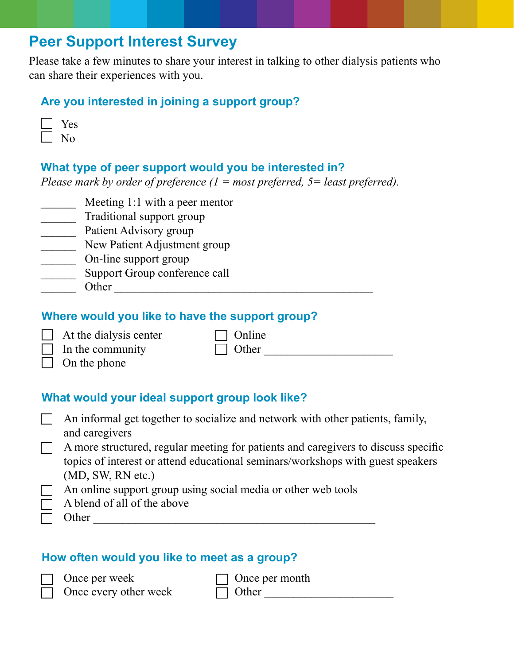# **Peer Support Interest Survey**

Please take a few minutes to share your interest in talking to other dialysis patients who can share their experiences with you.

### **Are you interested in joining a support group?**

| ÷<br>↽<br>$\tilde{\phantom{a}}$ |
|---------------------------------|
|                                 |

### **What type of peer support would you be interested in?**

*Please mark by order of preference (1 = most preferred, 5= least preferred).*

- **Meeting 1:1 with a peer mentor**
- \_\_\_\_\_\_ Traditional support group
- **Example 3** Patient Advisory group
- **New Patient Adjustment group**
- \_\_\_\_\_\_ On-line support group
- \_\_\_\_\_\_ Support Group conference call
- Other  $\Box$

### **Where would you like to have the support group?**

| $\Box$ At the dialysis center |
|-------------------------------|
| $\Box$ In the community       |

 $\Box$  Online  $\Box$  Other

 $\Box$  On the phone

# **What would your ideal support group look like?**

| $\Box$ An informal get together to socialize and network with other patients, family, |
|---------------------------------------------------------------------------------------|
| and caregivers                                                                        |

- A more structured, regular meeting for patients and caregivers to discuss specific topics of interest or attend educational seminars/workshops with guest speakers (MD, SW, RN etc.)
- An online support group using social media or other web tools
- A blend of all of the above

Other  $\Box$ 

# **How often would you like to meet as a group?**

Once per week  $\Box$  Once every other week  $\Box$  Once per month

 $\Box$  Other